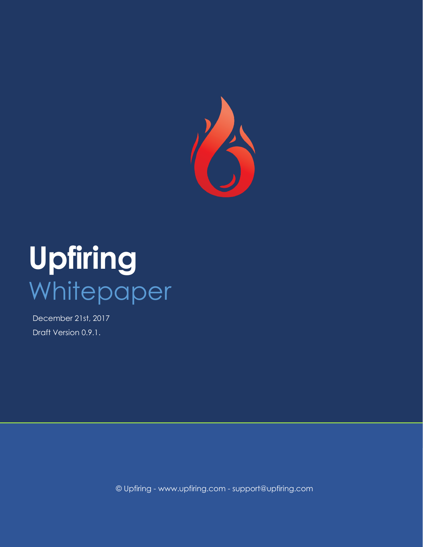

# **Upfiring** Whitepaper

December 21st, 2017 Draft Version 0.9.1.

© Upfiring - www.upfiring.com - support@upfiring.com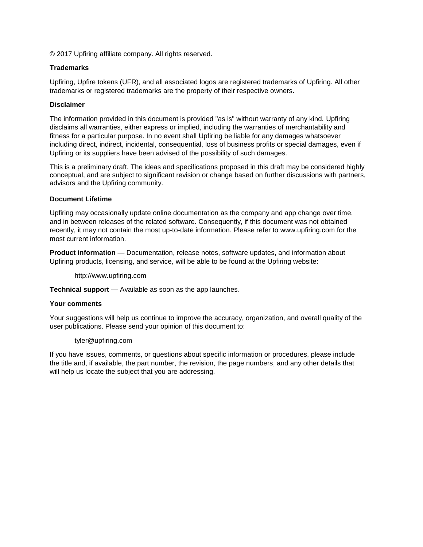© 2017 Upfiring affiliate company. All rights reserved.

#### **Trademarks**

Upfiring, Upfire tokens (UFR), and all associated logos are registered trademarks of Upfiring. All other trademarks or registered trademarks are the property of their respective owners.

#### **Disclaimer**

The information provided in this document is provided "as is" without warranty of any kind. Upfiring disclaims all warranties, either express or implied, including the warranties of merchantability and fitness for a particular purpose. In no event shall Upfiring be liable for any damages whatsoever including direct, indirect, incidental, consequential, loss of business profits or special damages, even if Upfiring or its suppliers have been advised of the possibility of such damages.

This is a preliminary draft. The ideas and specifications proposed in this draft may be considered highly conceptual, and are subject to significant revision or change based on further discussions with partners, advisors and the Upfiring community.

#### **Document Lifetime**

Upfiring may occasionally update online documentation as the company and app change over time, and in between releases of the related software. Consequently, if this document was not obtained recently, it may not contain the most up-to-date information. Please refer to www.upfiring.com for the most current information.

**Product information** — Documentation, release notes, software updates, and information about Upfiring products, licensing, and service, will be able to be found at the Upfiring website:

http://www.upfiring.com

**Technical support** — Available as soon as the app launches.

#### **Your comments**

Your suggestions will help us continue to improve the accuracy, organization, and overall quality of the user publications. Please send your opinion of this document to:

#### tyler@upfiring.com

If you have issues, comments, or questions about specific information or procedures, please include the title and, if available, the part number, the revision, the page numbers, and any other details that will help us locate the subject that you are addressing.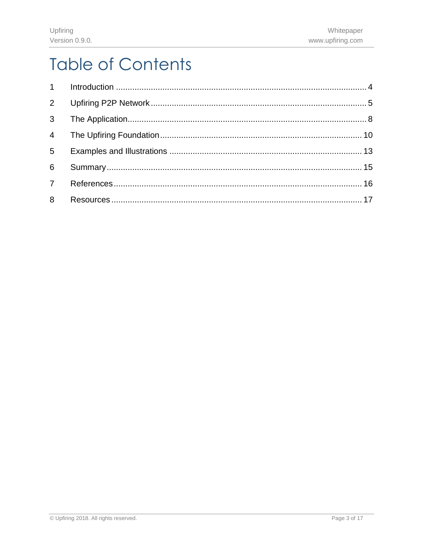# **Table of Contents**

| $6 -$ |  |
|-------|--|
|       |  |
| 8     |  |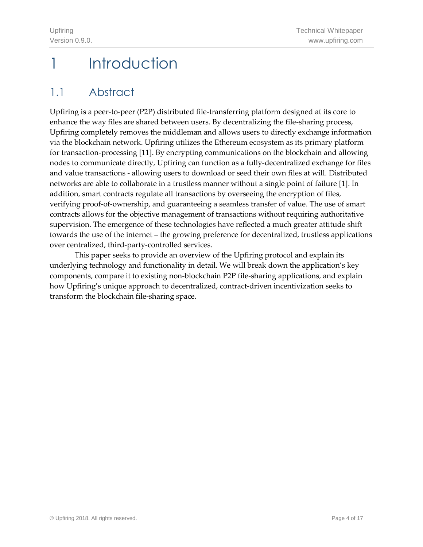# <span id="page-3-0"></span>1 Introduction

### 1.1 Abstract

Upfiring is a peer-to-peer (P2P) distributed file-transferring platform designed at its core to enhance the way files are shared between users. By decentralizing the file-sharing process, Upfiring completely removes the middleman and allows users to directly exchange information via the blockchain network. Upfiring utilizes the Ethereum ecosystem as its primary platform for transaction-processing [11]. By encrypting communications on the blockchain and allowing nodes to communicate directly, Upfiring can function as a fully-decentralized exchange for files and value transactions - allowing users to download or seed their own files at will. Distributed networks are able to collaborate in a trustless manner without a single point of failure [1]. In addition, smart contracts regulate all transactions by overseeing the encryption of files, verifying proof-of-ownership, and guaranteeing a seamless transfer of value. The use of smart contracts allows for the objective management of transactions without requiring authoritative supervision. The emergence of these technologies have reflected a much greater attitude shift towards the use of the internet – the growing preference for decentralized, trustless applications over centralized, third-party-controlled services.

This paper seeks to provide an overview of the Upfiring protocol and explain its underlying technology and functionality in detail. We will break down the application's key components, compare it to existing non-blockchain P2P file-sharing applications, and explain how Upfiring's unique approach to decentralized, contract-driven incentivization seeks to transform the blockchain file-sharing space.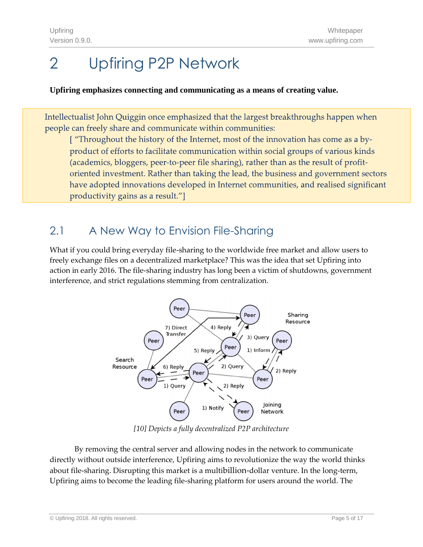# <span id="page-4-0"></span>2 Upfiring P2P Network

#### **Upfiring emphasizes connecting and communicating as a means of creating value.**

Intellectualist John Quiggin once emphasized that the largest breakthroughs happen when people can freely share and communicate within communities:

["Throughout the history of the Internet, most of the innovation has come as a byproduct of efforts to facilitate communication within social groups of various kinds (academics, bloggers, peer-to-peer file sharing), rather than as the result of profitoriented investment. Rather than taking the lead, the business and government sectors have adopted innovations developed in Internet communities, and realised significant productivity gains as a result."]

### 2.1 A New Way to Envision File-Sharing

What if you could bring everyday file-sharing to the worldwide free market and allow users to freely exchange files on a decentralized marketplace? This was the idea that set Upfiring into action in early 2016. The file-sharing industry has long been a victim of shutdowns, government interference, and strict regulations stemming from centralization.



*[10] Depicts a fully decentralized P2P architecture* 

By removing the central server and allowing nodes in the network to communicate directly without outside interference, Upfiring aims to revolutionize the way the world thinks about file-sharing. Disrupting this market is a multibillion-dollar venture. In the long-term, Upfiring aims to become the leading file-sharing platform for users around the world. The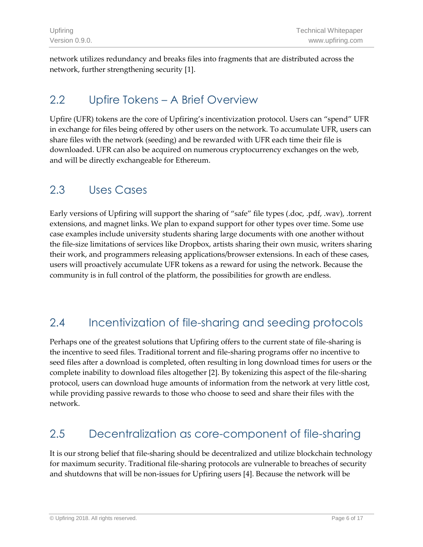network utilizes redundancy and breaks files into fragments that are distributed across the network, further strengthening security [1].

### 2.2 Upfire Tokens – A Brief Overview

Upfire (UFR) tokens are the core of Upfiring's incentivization protocol. Users can "spend" UFR in exchange for files being offered by other users on the network. To accumulate UFR, users can share files with the network (seeding) and be rewarded with UFR each time their file is downloaded. UFR can also be acquired on numerous cryptocurrency exchanges on the web, and will be directly exchangeable for Ethereum.

### 2.3 Uses Cases

Early versions of Upfiring will support the sharing of "safe" file types (.doc, .pdf, .wav), .torrent extensions, and magnet links. We plan to expand support for other types over time. Some use case examples include university students sharing large documents with one another without the file-size limitations of services like Dropbox, artists sharing their own music, writers sharing their work, and programmers releasing applications/browser extensions. In each of these cases, users will proactively accumulate UFR tokens as a reward for using the network. Because the community is in full control of the platform, the possibilities for growth are endless.

### 2.4 Incentivization of file-sharing and seeding protocols

Perhaps one of the greatest solutions that Upfiring offers to the current state of file-sharing is the incentive to seed files. Traditional torrent and file-sharing programs offer no incentive to seed files after a download is completed, often resulting in long download times for users or the complete inability to download files altogether [2]. By tokenizing this aspect of the file-sharing protocol, users can download huge amounts of information from the network at very little cost, while providing passive rewards to those who choose to seed and share their files with the network.

### 2.5 Decentralization as core-component of file-sharing

It is our strong belief that file-sharing should be decentralized and utilize blockchain technology for maximum security. Traditional file-sharing protocols are vulnerable to breaches of security and shutdowns that will be non-issues for Upfiring users [4]. Because the network will be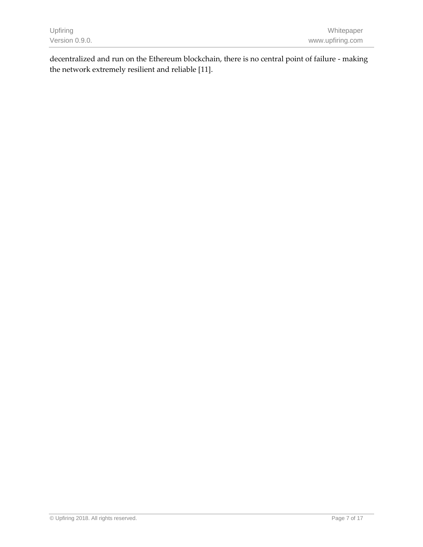decentralized and run on the Ethereum blockchain, there is no central point of failure - making the network extremely resilient and reliable [11].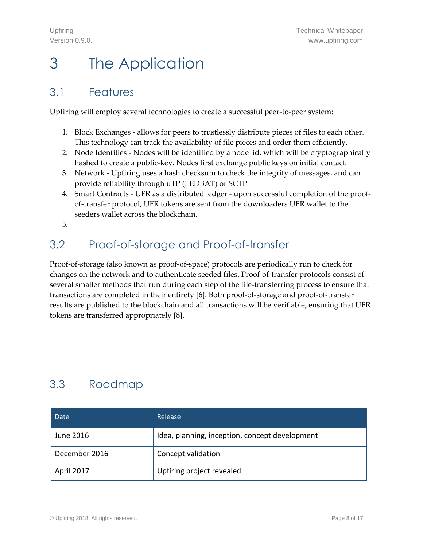# <span id="page-7-0"></span>3 The Application

### 3.1 Features

Upfiring will employ several technologies to create a successful peer-to-peer system:

- 1. Block Exchanges allows for peers to trustlessly distribute pieces of files to each other. This technology can track the availability of file pieces and order them efficiently.
- 2. Node Identities Nodes will be identified by a node\_id, which will be cryptographically hashed to create a public-key. Nodes first exchange public keys on initial contact.
- 3. Network Upfiring uses a hash checksum to check the integrity of messages, and can provide reliability through uTP (LEDBAT) or SCTP
- 4. Smart Contracts UFR as a distributed ledger upon successful completion of the proofof-transfer protocol, UFR tokens are sent from the downloaders UFR wallet to the seeders wallet across the blockchain.
- 5.

### 3.2 Proof-of-storage and Proof-of-transfer

Proof-of-storage (also known as proof-of-space) protocols are periodically run to check for changes on the network and to authenticate seeded files. Proof-of-transfer protocols consist of several smaller methods that run during each step of the file-transferring process to ensure that transactions are completed in their entirety [6]. Both proof-of-storage and proof-of-transfer results are published to the blockchain and all transactions will be verifiable, ensuring that UFR tokens are transferred appropriately [8].

### 3.3 Roadmap

| Date          | Release                                        |
|---------------|------------------------------------------------|
| June 2016     | Idea, planning, inception, concept development |
| December 2016 | Concept validation                             |
| April 2017    | Upfiring project revealed                      |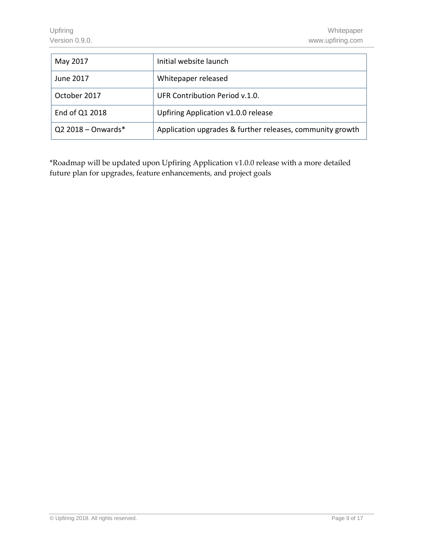| May 2017             | Initial website launch                                    |
|----------------------|-----------------------------------------------------------|
| June 2017            | Whitepaper released                                       |
| October 2017         | UFR Contribution Period v.1.0.                            |
| End of Q1 2018       | Upfiring Application v1.0.0 release                       |
| $Q2$ 2018 - Onwards* | Application upgrades & further releases, community growth |

\*Roadmap will be updated upon Upfiring Application v1.0.0 release with a more detailed future plan for upgrades, feature enhancements, and project goals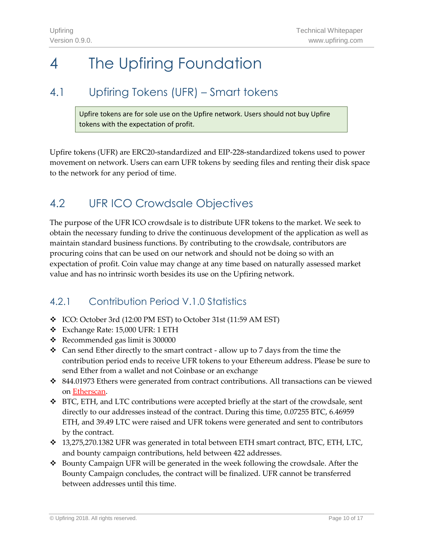## <span id="page-9-0"></span>4 The Upfiring Foundation

### 4.1 Upfiring Tokens (UFR) – Smart tokens

Upfire tokens are for sole use on the Upfire network. Users should not buy Upfire tokens with the expectation of profit.

Upfire tokens (UFR) are ERC20-standardized and EIP-228-standardized tokens used to power movement on network. Users can earn UFR tokens by seeding files and renting their disk space to the network for any period of time.

### 4.2 UFR ICO Crowdsale Objectives

The purpose of the UFR ICO crowdsale is to distribute UFR tokens to the market. We seek to obtain the necessary funding to drive the continuous development of the application as well as maintain standard business functions. By contributing to the crowdsale, contributors are procuring coins that can be used on our network and should not be doing so with an expectation of profit. Coin value may change at any time based on naturally assessed market value and has no intrinsic worth besides its use on the Upfiring network.

#### 4.2.1 Contribution Period V.1.0 Statistics

- ❖ ICO: October 3rd (12:00 PM EST) to October 31st (11:59 AM EST)
- ❖ Exchange Rate: 15,000 UFR: 1 ETH
- ❖ Recommended gas limit is 300000
- $\div$  Can send Ether directly to the smart contract allow up to 7 days from the time the contribution period ends to receive UFR tokens to your Ethereum address. Please be sure to send Ether from a wallet and not Coinbase or an exchange
- ❖ 844.01973 Ethers were generated from contract contributions. All transactions can be viewed on [Etherscan.](https://etherscan.io/token/0xea097a2b1db00627b2fa17460ad260c016016977)
- ❖ BTC, ETH, and LTC contributions were accepted briefly at the start of the crowdsale, sent directly to our addresses instead of the contract. During this time, 0.07255 BTC, 6.46959 ETH, and 39.49 LTC were raised and UFR tokens were generated and sent to contributors by the contract.
- ❖ 13,275,270.1382 UFR was generated in total between ETH smart contract, BTC, ETH, LTC, and bounty campaign contributions, held between 422 addresses.
- ❖ Bounty Campaign UFR will be generated in the week following the crowdsale. After the Bounty Campaign concludes, the contract will be finalized. UFR cannot be transferred between addresses until this time.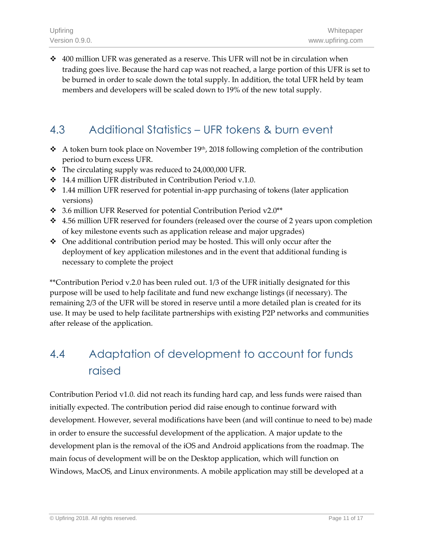$\div$  400 million UFR was generated as a reserve. This UFR will not be in circulation when trading goes live. Because the hard cap was not reached, a large portion of this UFR is set to be burned in order to scale down the total supply. In addition, the total UFR held by team members and developers will be scaled down to 19% of the new total supply.

### 4.3 Additional Statistics – UFR tokens & burn event

- ❖ A token burn took place on November 19<sup>th</sup>, 2018 following completion of the contribution period to burn excess UFR.
- ❖ The circulating supply was reduced to 24,000,000 UFR.
- ❖ 14.4 million UFR distributed in Contribution Period v.1.0.
- ❖ 1.44 million UFR reserved for potential in-app purchasing of tokens (later application versions)
- ❖ 3.6 million UFR Reserved for potential Contribution Period v2.0\*\*
- $\div$  4.56 million UFR reserved for founders (released over the course of 2 years upon completion of key milestone events such as application release and major upgrades)
- ❖ One additional contribution period may be hosted. This will only occur after the deployment of key application milestones and in the event that additional funding is necessary to complete the project

\*\*Contribution Period v.2.0 has been ruled out. 1/3 of the UFR initially designated for this purpose will be used to help facilitate and fund new exchange listings (if necessary). The remaining 2/3 of the UFR will be stored in reserve until a more detailed plan is created for its use. It may be used to help facilitate partnerships with existing P2P networks and communities after release of the application.

### 4.4 Adaptation of development to account for funds raised

Contribution Period v1.0. did not reach its funding hard cap, and less funds were raised than initially expected. The contribution period did raise enough to continue forward with development. However, several modifications have been (and will continue to need to be) made in order to ensure the successful development of the application. A major update to the development plan is the removal of the iOS and Android applications from the roadmap. The main focus of development will be on the Desktop application, which will function on Windows, MacOS, and Linux environments. A mobile application may still be developed at a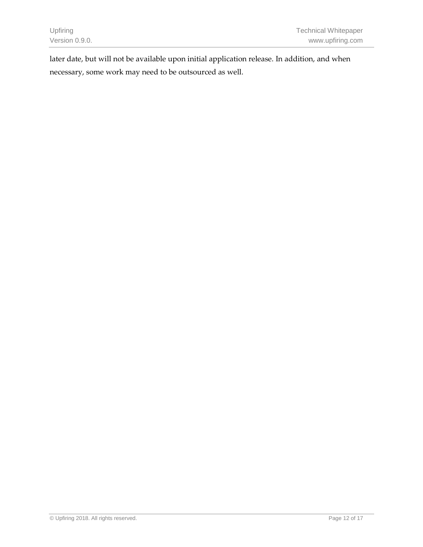later date, but will not be available upon initial application release. In addition, and when necessary, some work may need to be outsourced as well.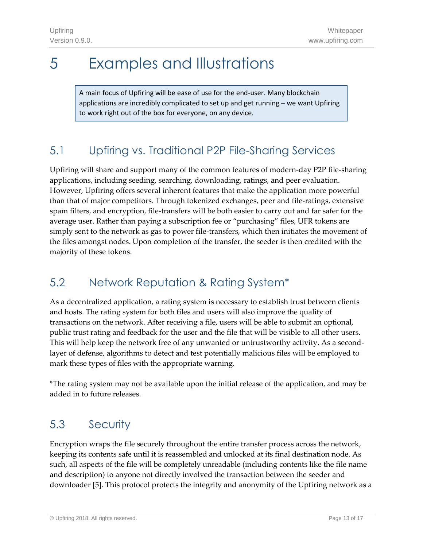### <span id="page-12-0"></span>5 Examples and Illustrations

A main focus of Upfiring will be ease of use for the end-user. Many blockchain applications are incredibly complicated to set up and get running – we want Upfiring to work right out of the box for everyone, on any device.

### 5.1 Upfiring vs. Traditional P2P File-Sharing Services

Upfiring will share and support many of the common features of modern-day P2P file-sharing applications, including seeding, searching, downloading, ratings, and peer evaluation. However, Upfiring offers several inherent features that make the application more powerful than that of major competitors. Through tokenized exchanges, peer and file-ratings, extensive spam filters, and encryption, file-transfers will be both easier to carry out and far safer for the average user. Rather than paying a subscription fee or "purchasing" files, UFR tokens are simply sent to the network as gas to power file-transfers, which then initiates the movement of the files amongst nodes. Upon completion of the transfer, the seeder is then credited with the majority of these tokens.

### 5.2 Network Reputation & Rating System\*

As a decentralized application, a rating system is necessary to establish trust between clients and hosts. The rating system for both files and users will also improve the quality of transactions on the network. After receiving a file, users will be able to submit an optional, public trust rating and feedback for the user and the file that will be visible to all other users. This will help keep the network free of any unwanted or untrustworthy activity. As a secondlayer of defense, algorithms to detect and test potentially malicious files will be employed to mark these types of files with the appropriate warning.

\*The rating system may not be available upon the initial release of the application, and may be added in to future releases.

### 5.3 Security

Encryption wraps the file securely throughout the entire transfer process across the network, keeping its contents safe until it is reassembled and unlocked at its final destination node. As such, all aspects of the file will be completely unreadable (including contents like the file name and description) to anyone not directly involved the transaction between the seeder and downloader [5]. This protocol protects the integrity and anonymity of the Upfiring network as a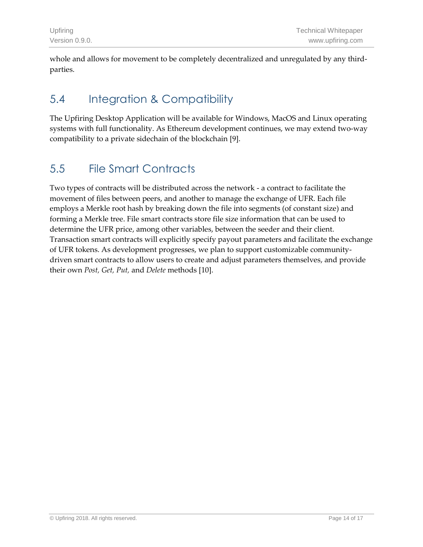whole and allows for movement to be completely decentralized and unregulated by any thirdparties.

### 5.4 Integration & Compatibility

The Upfiring Desktop Application will be available for Windows, MacOS and Linux operating systems with full functionality. As Ethereum development continues, we may extend two-way compatibility to a private sidechain of the blockchain [9].

### 5.5 File Smart Contracts

Two types of contracts will be distributed across the network - a contract to facilitate the movement of files between peers, and another to manage the exchange of UFR. Each file employs a Merkle root hash by breaking down the file into segments (of constant size) and forming a Merkle tree. File smart contracts store file size information that can be used to determine the UFR price, among other variables, between the seeder and their client. Transaction smart contracts will explicitly specify payout parameters and facilitate the exchange of UFR tokens. As development progresses, we plan to support customizable communitydriven smart contracts to allow users to create and adjust parameters themselves, and provide their own *Post, Get, Put,* and *Delete* methods [10].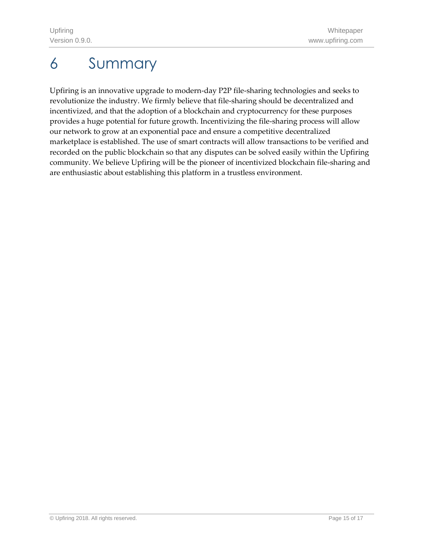# <span id="page-14-0"></span>6 Summary

Upfiring is an innovative upgrade to modern-day P2P file-sharing technologies and seeks to revolutionize the industry. We firmly believe that file-sharing should be decentralized and incentivized, and that the adoption of a blockchain and cryptocurrency for these purposes provides a huge potential for future growth. Incentivizing the file-sharing process will allow our network to grow at an exponential pace and ensure a competitive decentralized marketplace is established. The use of smart contracts will allow transactions to be verified and recorded on the public blockchain so that any disputes can be solved easily within the Upfiring community. We believe Upfiring will be the pioneer of incentivized blockchain file-sharing and are enthusiastic about establishing this platform in a trustless environment.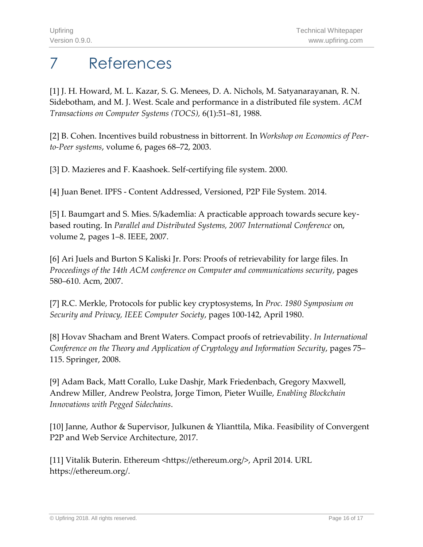# <span id="page-15-0"></span>7 References

[1] J. H. Howard, M. L. Kazar, S. G. Menees, D. A. Nichols, M. Satyanarayanan, R. N. Sidebotham, and M. J. West. Scale and performance in a distributed file system. *ACM Transactions on Computer Systems (TOCS),* 6(1):51–81, 1988.

[2] B. Cohen. Incentives build robustness in bittorrent*.* In *Workshop on Economics of Peerto-Peer systems*, volume 6, pages 68–72, 2003.

[3] D. Mazieres and F. Kaashoek. Self-certifying file system. 2000.

[4] Juan Benet. IPFS - Content Addressed, Versioned, P2P File System. 2014.

[5] I. Baumgart and S. Mies. S/kademlia: A practicable approach towards secure keybased routing. In *Parallel and Distributed Systems, 2007 International Conference* on, volume 2, pages 1–8. IEEE, 2007.

[6] Ari Juels and Burton S Kaliski Jr. Pors: Proofs of retrievability for large files. In *Proceedings of the 14th ACM conference on Computer and communications security*, pages 580–610. Acm, 2007.

[7] R.C. Merkle, Protocols for public key cryptosystems, In *Proc. 1980 Symposium on Security and Privacy, IEEE Computer Society*, pages 100-142, April 1980.

[8] Hovav Shacham and Brent Waters. Compact proofs of retrievability. *In International Conference on the Theory and Application of Cryptology and Information Security*, pages 75– 115. Springer, 2008.

[9] Adam Back, Matt Corallo, Luke Dashjr, Mark Friedenbach, Gregory Maxwell, Andrew Miller, Andrew Peolstra, Jorge Timon, Pieter Wuille, *Enabling Blockchain Innovations with Pegged Sidechains*.

[10] Janne, Author & Supervisor, Julkunen & Ylianttila, Mika. Feasibility of Convergent P2P and Web Service Architecture, 2017.

[11] Vitalik Buterin. Ethereum <https://ethereum.org/>, April 2014. URL https://ethereum.org/.